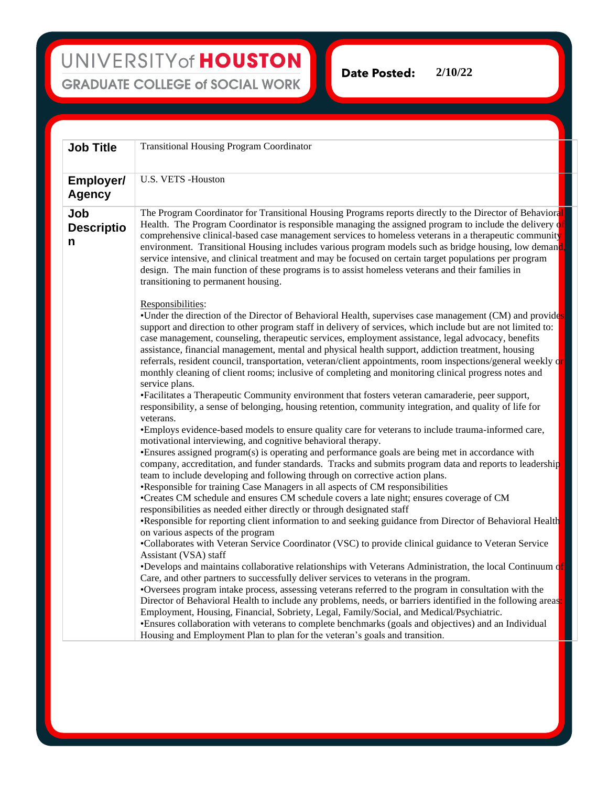**2/10/22Date Posted:** 

| <b>Transitional Housing Program Coordinator</b>                                                                                                                                                                                                                                                                                                                                                                                                                                                                                                                                                                                                                                                                                                                                                                                                                                                                                                                                                                                                                                                                                                                                                                                                                                                                                                                                                                                                                                                                                                                                                                                                                                                                                                                                                                                                      |
|------------------------------------------------------------------------------------------------------------------------------------------------------------------------------------------------------------------------------------------------------------------------------------------------------------------------------------------------------------------------------------------------------------------------------------------------------------------------------------------------------------------------------------------------------------------------------------------------------------------------------------------------------------------------------------------------------------------------------------------------------------------------------------------------------------------------------------------------------------------------------------------------------------------------------------------------------------------------------------------------------------------------------------------------------------------------------------------------------------------------------------------------------------------------------------------------------------------------------------------------------------------------------------------------------------------------------------------------------------------------------------------------------------------------------------------------------------------------------------------------------------------------------------------------------------------------------------------------------------------------------------------------------------------------------------------------------------------------------------------------------------------------------------------------------------------------------------------------------|
| U.S. VETS -Houston                                                                                                                                                                                                                                                                                                                                                                                                                                                                                                                                                                                                                                                                                                                                                                                                                                                                                                                                                                                                                                                                                                                                                                                                                                                                                                                                                                                                                                                                                                                                                                                                                                                                                                                                                                                                                                   |
| The Program Coordinator for Transitional Housing Programs reports directly to the Director of Behavioral<br>Health. The Program Coordinator is responsible managing the assigned program to include the delivery of<br>comprehensive clinical-based case management services to homeless veterans in a therapeutic community<br>environment. Transitional Housing includes various program models such as bridge housing, low demand,<br>service intensive, and clinical treatment and may be focused on certain target populations per program<br>design. The main function of these programs is to assist homeless veterans and their families in<br>transitioning to permanent housing.<br>Responsibilities:                                                                                                                                                                                                                                                                                                                                                                                                                                                                                                                                                                                                                                                                                                                                                                                                                                                                                                                                                                                                                                                                                                                                      |
| •Under the direction of the Director of Behavioral Health, supervises case management (CM) and provides<br>support and direction to other program staff in delivery of services, which include but are not limited to:<br>case management, counseling, therapeutic services, employment assistance, legal advocacy, benefits<br>assistance, financial management, mental and physical health support, addiction treatment, housing<br>referrals, resident council, transportation, veteran/client appointments, room inspections/general weekly or<br>monthly cleaning of client rooms; inclusive of completing and monitoring clinical progress notes and<br>service plans.<br>•Facilitates a Therapeutic Community environment that fosters veteran camaraderie, peer support,                                                                                                                                                                                                                                                                                                                                                                                                                                                                                                                                                                                                                                                                                                                                                                                                                                                                                                                                                                                                                                                                     |
| responsibility, a sense of belonging, housing retention, community integration, and quality of life for<br>veterans.<br>•Employs evidence-based models to ensure quality care for veterans to include trauma-informed care,<br>motivational interviewing, and cognitive behavioral therapy.<br>•Ensures assigned program(s) is operating and performance goals are being met in accordance with<br>company, accreditation, and funder standards. Tracks and submits program data and reports to leadership<br>team to include developing and following through on corrective action plans.<br>•Responsible for training Case Managers in all aspects of CM responsibilities<br>•Creates CM schedule and ensures CM schedule covers a late night; ensures coverage of CM<br>responsibilities as needed either directly or through designated staff<br>•Responsible for reporting client information to and seeking guidance from Director of Behavioral Health<br>on various aspects of the program<br>•Collaborates with Veteran Service Coordinator (VSC) to provide clinical guidance to Veteran Service<br>Assistant (VSA) staff<br>•Develops and maintains collaborative relationships with Veterans Administration, the local Continuum of<br>Care, and other partners to successfully deliver services to veterans in the program.<br>•Oversees program intake process, assessing veterans referred to the program in consultation with the<br>Director of Behavioral Health to include any problems, needs, or barriers identified in the following areas:<br>Employment, Housing, Financial, Sobriety, Legal, Family/Social, and Medical/Psychiatric.<br>•Ensures collaboration with veterans to complete benchmarks (goals and objectives) and an Individual<br>Housing and Employment Plan to plan for the veteran's goals and transition. |
|                                                                                                                                                                                                                                                                                                                                                                                                                                                                                                                                                                                                                                                                                                                                                                                                                                                                                                                                                                                                                                                                                                                                                                                                                                                                                                                                                                                                                                                                                                                                                                                                                                                                                                                                                                                                                                                      |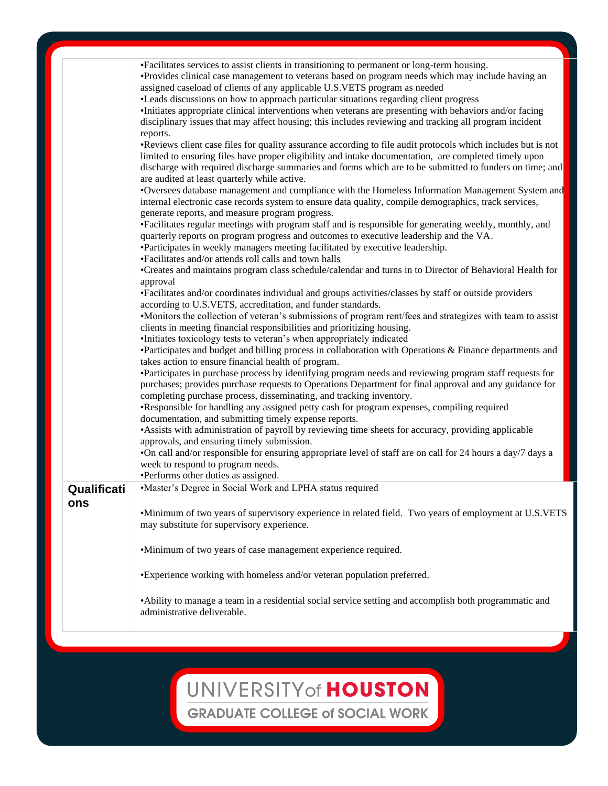## UNIVERSITY of HOUSTON

**GRADUATE COLLEGE of SOCIAL WORK**